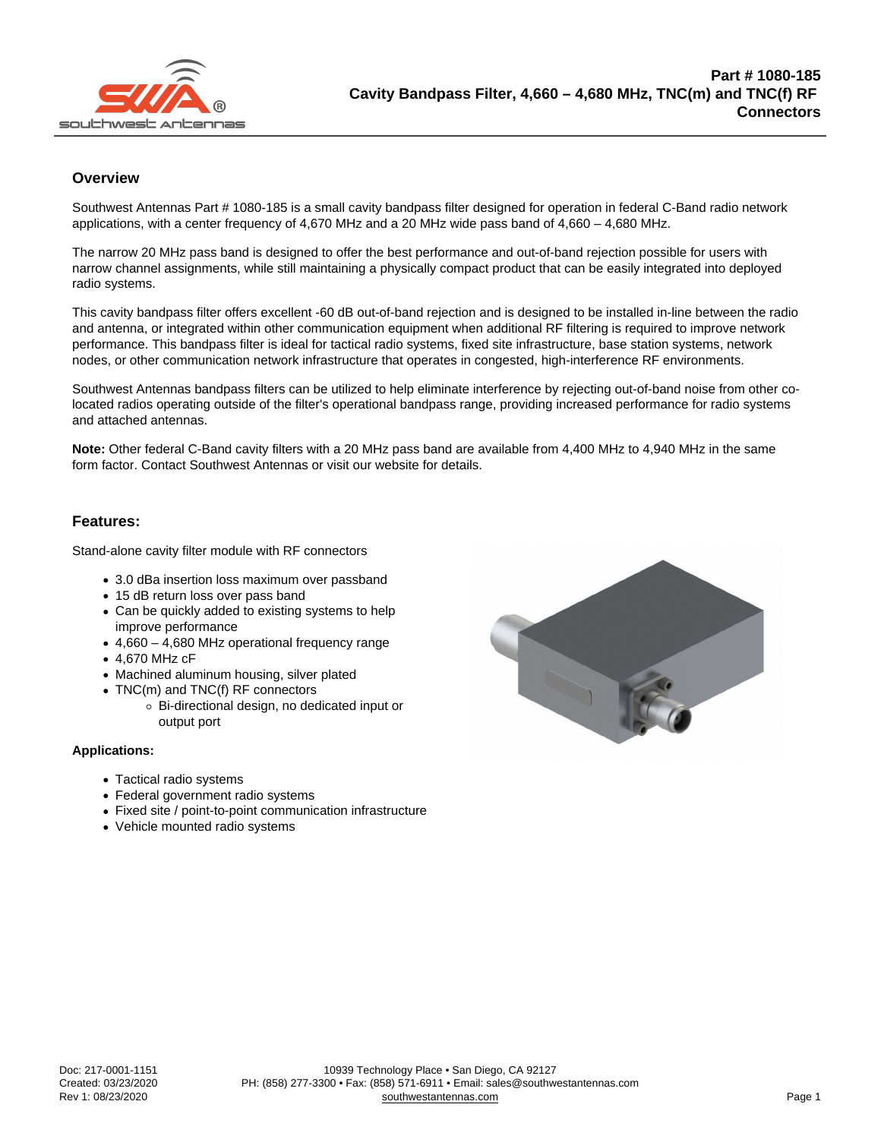## **Overview**

Southwest Antennas Part # 1080-185 is a small cavity bandpass filter designed for operation in federal C-Band radio network applications, with a center frequency of 4,670 MHz and a 20 MHz wide pass band of 4,660 – 4,680 MHz.

The narrow 20 MHz pass band is designed to offer the best performance and out-of-band rejection possible for users with narrow channel assignments, while still maintaining a physically compact product that can be easily integrated into deployed radio systems.

This cavity bandpass filter offers excellent -60 dB out-of-band rejection and is designed to be installed in-line between the radio and antenna, or integrated within other communication equipment when additional RF filtering is required to improve network performance. This bandpass filter is ideal for tactical radio systems, fixed site infrastructure, base station systems, network nodes, or other communication network infrastructure that operates in congested, high-interference RF environments.

Southwest Antennas bandpass filters can be utilized to help eliminate interference by rejecting out-of-band noise from other colocated radios operating outside of the filter's operational bandpass range, providing increased performance for radio systems and attached antennas.

Note: Other federal C-Band cavity filters with a 20 MHz pass band are available from 4,400 MHz to 4,940 MHz in the same form factor. Contact Southwest Antennas or visit our website for details.

## Features:

Stand-alone cavity filter module with RF connectors

- 3.0 dBa insertion loss maximum over passband
- 15 dB return loss over pass band
- Can be quickly added to existing systems to help improve performance
- 4,660 4,680 MHz operational frequency range
- 4,670 MHz cF
- Machined aluminum housing, silver plated
- TNC(m) and TNC(f) RF connectors
	- Bi-directional design, no dedicated input or output port

Applications:

- Tactical radio systems
- Federal government radio systems
- Fixed site / point-to-point communication infrastructure
- Vehicle mounted radio systems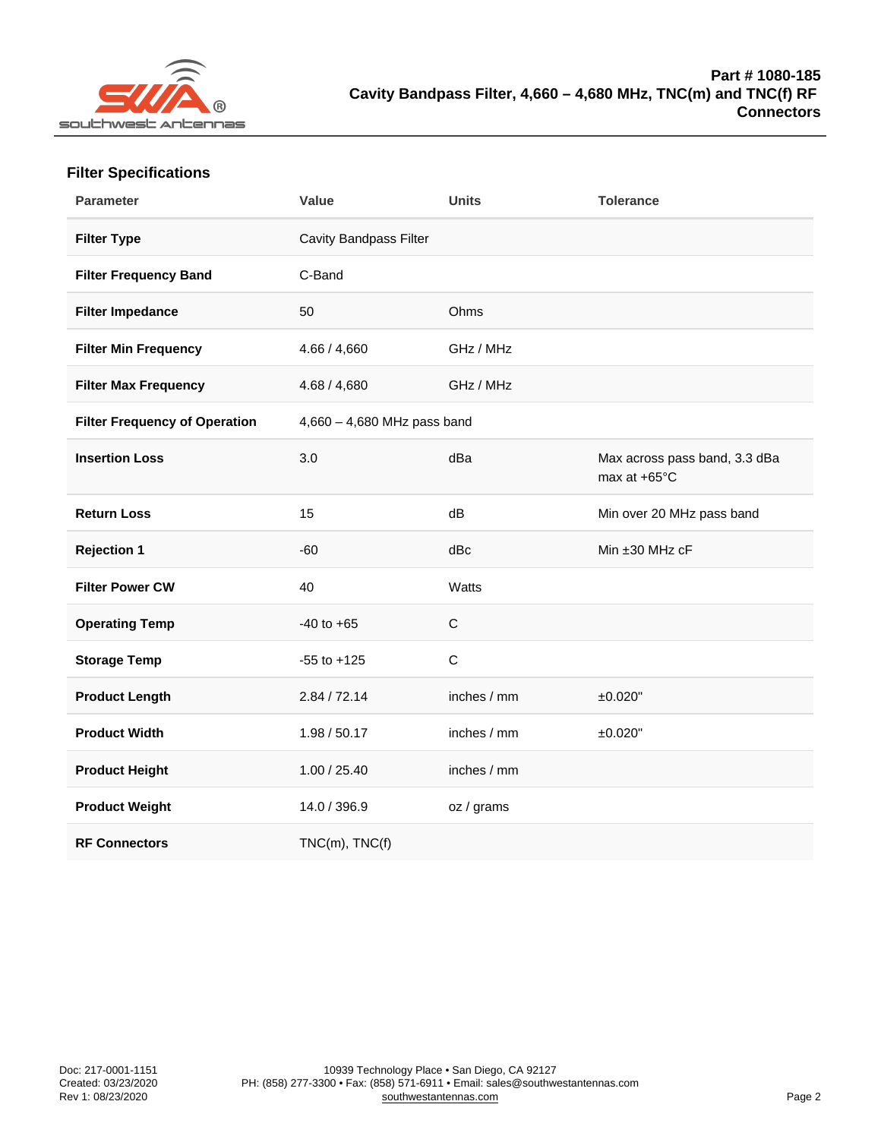| <b>Filter Specifications</b> |
|------------------------------|
|------------------------------|

| Parameter                     | Value                       | Units        | Tolerance                                     |
|-------------------------------|-----------------------------|--------------|-----------------------------------------------|
| Filter Type                   | Cavity Bandpass Filter      |              |                                               |
| Filter Frequency Band         | C-Band                      |              |                                               |
| Filter Impedance              | 50                          | Ohms         |                                               |
| Filter Min Frequency          | 4.66 / 4,660                | GHz / MHz    |                                               |
| Filter Max Frequency          | 4.68 / 4,680                | GHz / MHz    |                                               |
| Filter Frequency of Operation | 4,660 - 4,680 MHz pass band |              |                                               |
| <b>Insertion Loss</b>         | 3.0                         | dBa          | Max across pass band, 3.3 dBa<br>max at +65°C |
| <b>Return Loss</b>            | 15                          | dB           | Min over 20 MHz pass band                     |
| Rejection 1                   | $-60$                       | dBc          | Min ±30 MHz cF                                |
| Filter Power CW               | 40                          | Watts        |                                               |
| <b>Operating Temp</b>         | $-40$ to $+65$              | $\mathsf C$  |                                               |
| Storage Temp                  | $-55$ to $+125$             | $\mathsf{C}$ |                                               |
| Product Length                | 2.84 / 72.14                | inches / mm  | ±0.020"                                       |
| Product Width                 | 1.98 / 50.17                | inches / mm  | ±0.020"                                       |
| Product Height                | 1.00 / 25.40                | inches / mm  |                                               |
| Product Weight                | 14.0 / 396.9                | oz / grams   |                                               |
| <b>RF Connectors</b>          | $TNC(m)$ , $TNC(f)$         |              |                                               |